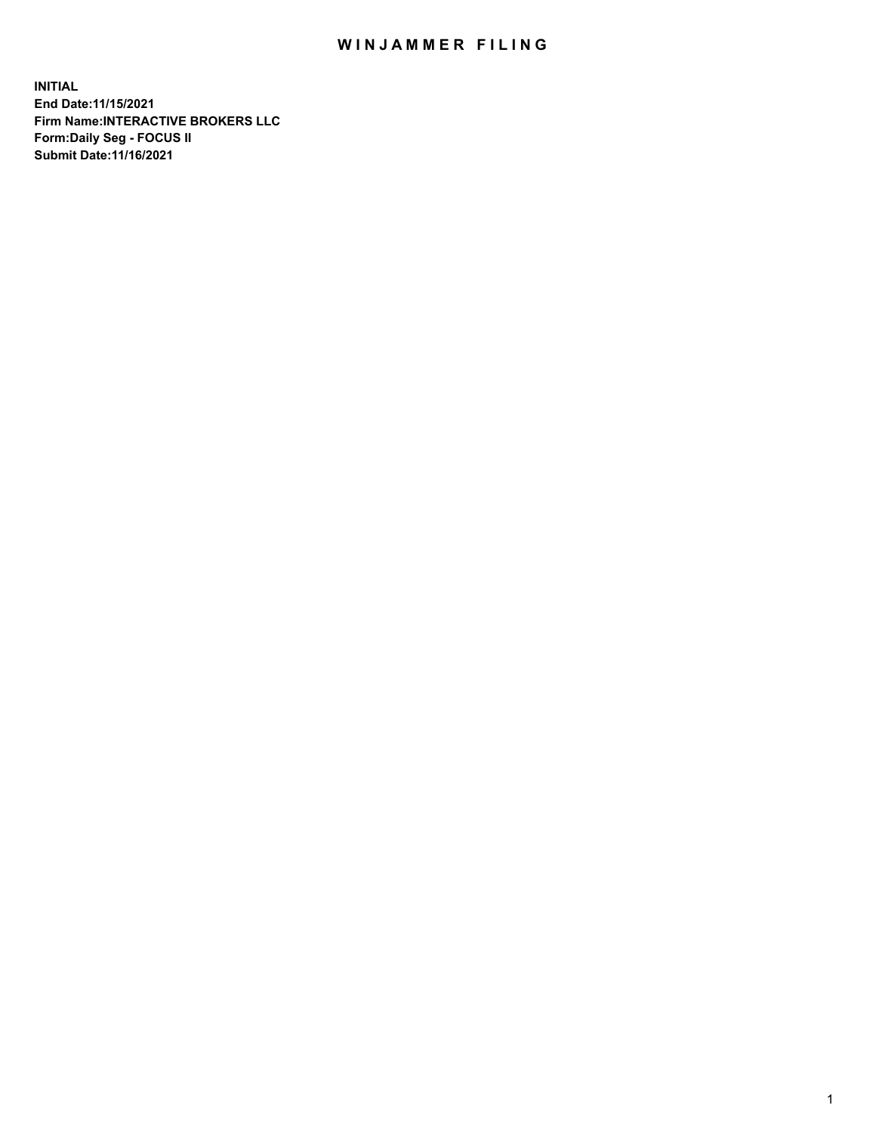## WIN JAMMER FILING

**INITIAL End Date:11/15/2021 Firm Name:INTERACTIVE BROKERS LLC Form:Daily Seg - FOCUS II Submit Date:11/16/2021**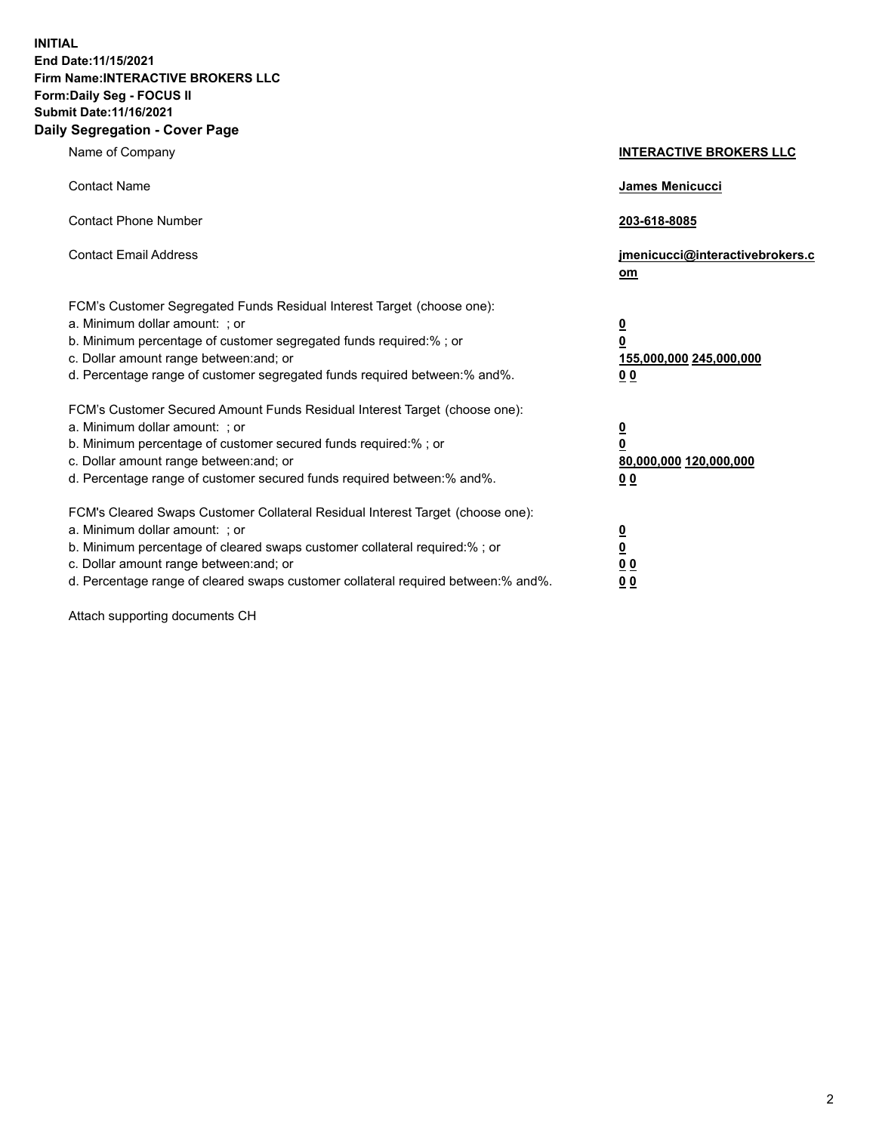**INITIAL End Date:11/15/2021 Firm Name:INTERACTIVE BROKERS LLC Form:Daily Seg - FOCUS II Submit Date:11/16/2021 Daily Segregation - Cover Page**

| Name of Company                                                                                                                                                                                                                                                                                                                | <b>INTERACTIVE BROKERS LLC</b>                                                                 |
|--------------------------------------------------------------------------------------------------------------------------------------------------------------------------------------------------------------------------------------------------------------------------------------------------------------------------------|------------------------------------------------------------------------------------------------|
| <b>Contact Name</b>                                                                                                                                                                                                                                                                                                            | James Menicucci                                                                                |
| <b>Contact Phone Number</b>                                                                                                                                                                                                                                                                                                    | 203-618-8085                                                                                   |
| <b>Contact Email Address</b>                                                                                                                                                                                                                                                                                                   | jmenicucci@interactivebrokers.c<br>om                                                          |
| FCM's Customer Segregated Funds Residual Interest Target (choose one):<br>a. Minimum dollar amount: ; or<br>b. Minimum percentage of customer segregated funds required:% ; or<br>c. Dollar amount range between: and; or<br>d. Percentage range of customer segregated funds required between:% and%.                         | $\overline{\mathbf{0}}$<br>$\overline{\mathbf{0}}$<br>155,000,000 245,000,000<br>00            |
| FCM's Customer Secured Amount Funds Residual Interest Target (choose one):<br>a. Minimum dollar amount: ; or<br>b. Minimum percentage of customer secured funds required:%; or<br>c. Dollar amount range between: and; or<br>d. Percentage range of customer secured funds required between:% and%.                            | $\overline{\mathbf{0}}$<br>$\overline{\mathbf{0}}$<br>80,000,000 120,000,000<br>0 <sub>0</sub> |
| FCM's Cleared Swaps Customer Collateral Residual Interest Target (choose one):<br>a. Minimum dollar amount: ; or<br>b. Minimum percentage of cleared swaps customer collateral required:% ; or<br>c. Dollar amount range between: and; or<br>d. Percentage range of cleared swaps customer collateral required between:% and%. | $\overline{\mathbf{0}}$<br>$\overline{\mathbf{0}}$<br>0 <sub>0</sub><br>0 <sub>0</sub>         |

Attach supporting documents CH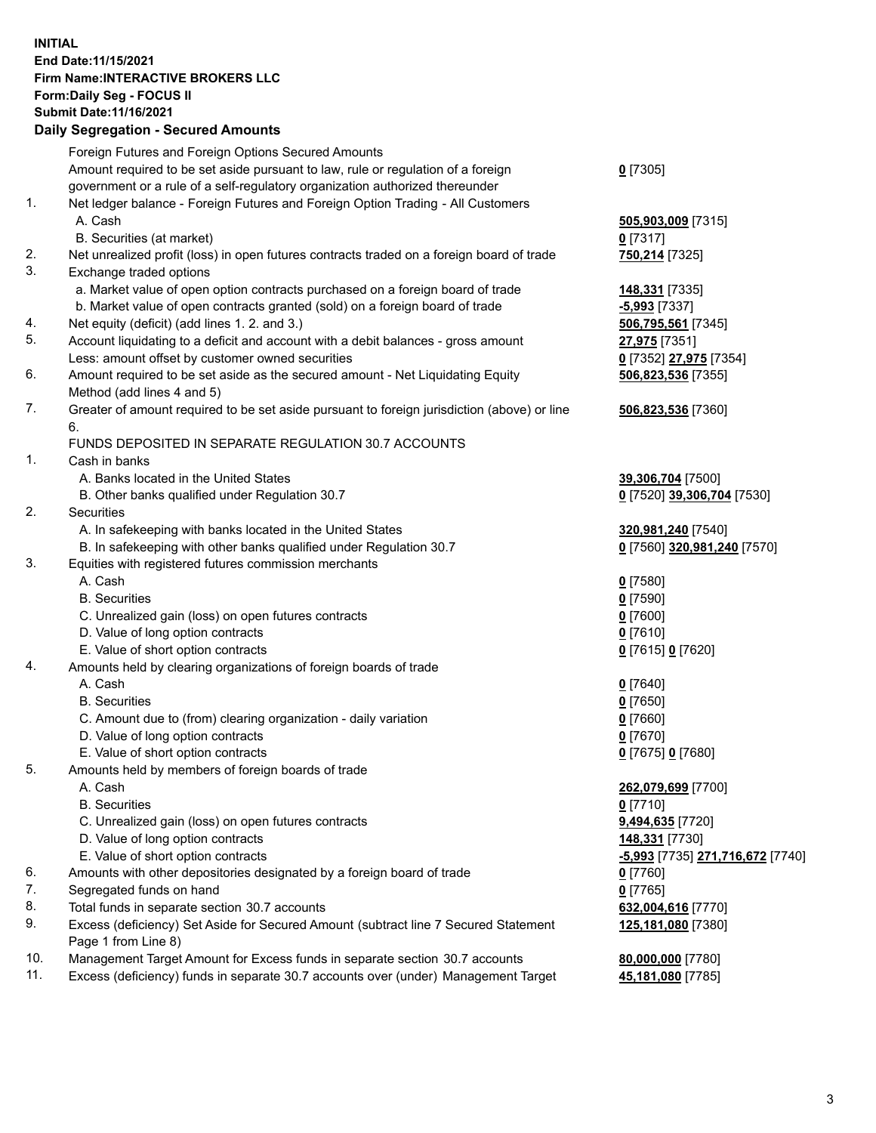## **INITIAL End Date:11/15/2021 Firm Name:INTERACTIVE BROKERS LLC Form:Daily Seg - FOCUS II Submit Date:11/16/2021 Daily Segregation - Secured Amounts**

|                | Daily Ocglegation - Occuled Aniounts                                                                       |                                               |
|----------------|------------------------------------------------------------------------------------------------------------|-----------------------------------------------|
|                | Foreign Futures and Foreign Options Secured Amounts                                                        |                                               |
|                | Amount required to be set aside pursuant to law, rule or regulation of a foreign                           | $0$ [7305]                                    |
|                | government or a rule of a self-regulatory organization authorized thereunder                               |                                               |
| $\mathbf{1}$ . | Net ledger balance - Foreign Futures and Foreign Option Trading - All Customers                            |                                               |
|                | A. Cash                                                                                                    | 505,903,009 [7315]                            |
|                | B. Securities (at market)                                                                                  | 0[7317]                                       |
| 2.             | Net unrealized profit (loss) in open futures contracts traded on a foreign board of trade                  | 750,214 [7325]                                |
| 3.             | Exchange traded options                                                                                    |                                               |
|                | a. Market value of open option contracts purchased on a foreign board of trade                             | 148,331 [7335]                                |
|                | b. Market value of open contracts granted (sold) on a foreign board of trade                               | $-5,993$ [7337]                               |
| 4.             | Net equity (deficit) (add lines 1. 2. and 3.)                                                              | 506,795,561 [7345]                            |
| 5.             | Account liquidating to a deficit and account with a debit balances - gross amount                          | 27,975 [7351]                                 |
|                | Less: amount offset by customer owned securities                                                           | 0 [7352] 27,975 [7354]                        |
| 6.             | Amount required to be set aside as the secured amount - Net Liquidating Equity                             | 506,823,536 [7355]                            |
|                | Method (add lines 4 and 5)                                                                                 |                                               |
| 7.             | Greater of amount required to be set aside pursuant to foreign jurisdiction (above) or line                | 506,823,536 [7360]                            |
|                | 6.                                                                                                         |                                               |
|                | FUNDS DEPOSITED IN SEPARATE REGULATION 30.7 ACCOUNTS                                                       |                                               |
| 1.             | Cash in banks                                                                                              |                                               |
|                | A. Banks located in the United States                                                                      | 39,306,704 [7500]                             |
|                | B. Other banks qualified under Regulation 30.7                                                             | 0 [7520] 39,306,704 [7530]                    |
| 2.             | Securities                                                                                                 |                                               |
|                | A. In safekeeping with banks located in the United States                                                  | 320,981,240 [7540]                            |
|                | B. In safekeeping with other banks qualified under Regulation 30.7                                         | 0 [7560] 320,981,240 [7570]                   |
| 3.             | Equities with registered futures commission merchants                                                      |                                               |
|                | A. Cash                                                                                                    | $0$ [7580]                                    |
|                | <b>B.</b> Securities                                                                                       | $0$ [7590]                                    |
|                | C. Unrealized gain (loss) on open futures contracts                                                        | $0$ [7600]                                    |
|                | D. Value of long option contracts                                                                          | $0$ [7610]                                    |
|                | E. Value of short option contracts                                                                         | 0 [7615] 0 [7620]                             |
| 4.             | Amounts held by clearing organizations of foreign boards of trade                                          |                                               |
|                | A. Cash                                                                                                    | $0$ [7640]                                    |
|                | <b>B.</b> Securities                                                                                       | $0$ [7650]                                    |
|                | C. Amount due to (from) clearing organization - daily variation                                            | $0$ [7660]                                    |
|                | D. Value of long option contracts                                                                          | $0$ [7670]                                    |
|                | E. Value of short option contracts                                                                         | 0 [7675] 0 [7680]                             |
| 5.             | Amounts held by members of foreign boards of trade                                                         |                                               |
|                | A. Cash                                                                                                    | 262,079,699 [7700]                            |
|                | <b>B.</b> Securities                                                                                       | $0$ [7710]                                    |
|                | C. Unrealized gain (loss) on open futures contracts                                                        | 9,494,635 [7720]                              |
|                | D. Value of long option contracts                                                                          | 148,331 [7730]                                |
|                | E. Value of short option contracts                                                                         | <mark>-5,993</mark> [7735] 271,716,672 [7740] |
| 6.             | Amounts with other depositories designated by a foreign board of trade                                     | $0$ [7760]                                    |
| 7.             | Segregated funds on hand                                                                                   | $0$ [7765]                                    |
| 8.             | Total funds in separate section 30.7 accounts                                                              | 632,004,616 [7770]                            |
| 9.             | Excess (deficiency) Set Aside for Secured Amount (subtract line 7 Secured Statement<br>Page 1 from Line 8) | 125,181,080 [7380]                            |
| 10.            | Management Target Amount for Excess funds in separate section 30.7 accounts                                | 80,000,000 [7780]                             |
| 11.            | Excess (deficiency) funds in separate 30.7 accounts over (under) Management Target                         | 45,181,080 [7785]                             |
|                |                                                                                                            |                                               |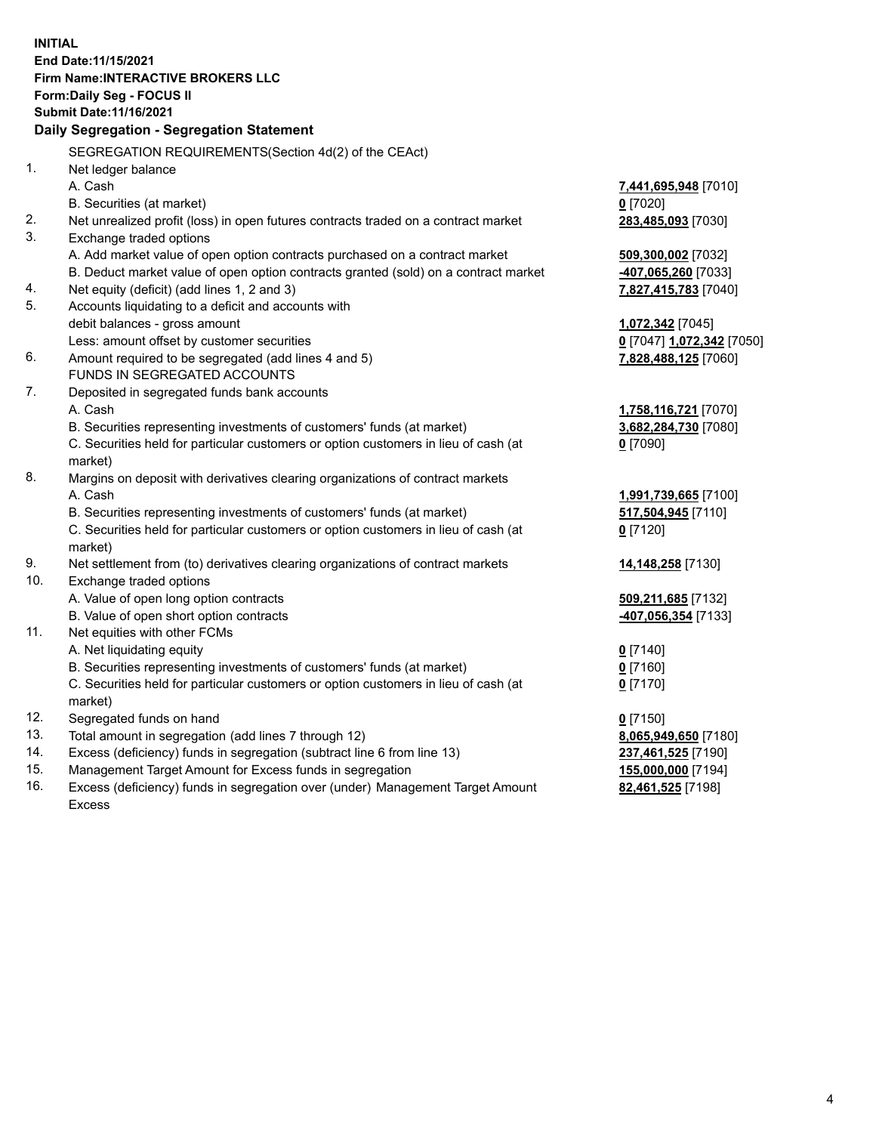**INITIAL End Date:11/15/2021 Firm Name:INTERACTIVE BROKERS LLC Form:Daily Seg - FOCUS II Submit Date:11/16/2021 Daily Segregation - Segregation Statement** SEGREGATION REQUIREMENTS(Section 4d(2) of the CEAct) 1. Net ledger balance A. Cash **7,441,695,948** [7010] B. Securities (at market) **0** [7020] 2. Net unrealized profit (loss) in open futures contracts traded on a contract market **283,485,093** [7030] 3. Exchange traded options A. Add market value of open option contracts purchased on a contract market **509,300,002** [7032] B. Deduct market value of open option contracts granted (sold) on a contract market **-407,065,260** [7033] 4. Net equity (deficit) (add lines 1, 2 and 3) **7,827,415,783** [7040] 5. Accounts liquidating to a deficit and accounts with debit balances - gross amount **1,072,342** [7045] Less: amount offset by customer securities **0** [7047] **1,072,342** [7050] 6. Amount required to be segregated (add lines 4 and 5) **7,828,488,125** [7060] FUNDS IN SEGREGATED ACCOUNTS 7. Deposited in segregated funds bank accounts A. Cash **1,758,116,721** [7070] B. Securities representing investments of customers' funds (at market) **3,682,284,730** [7080] C. Securities held for particular customers or option customers in lieu of cash (at market) **0** [7090] 8. Margins on deposit with derivatives clearing organizations of contract markets A. Cash **1,991,739,665** [7100] B. Securities representing investments of customers' funds (at market) **517,504,945** [7110] C. Securities held for particular customers or option customers in lieu of cash (at market) **0** [7120] 9. Net settlement from (to) derivatives clearing organizations of contract markets **14,148,258** [7130] 10. Exchange traded options A. Value of open long option contracts **509,211,685** [7132] B. Value of open short option contracts **-407,056,354** [7133] 11. Net equities with other FCMs A. Net liquidating equity **0** [7140] B. Securities representing investments of customers' funds (at market) **0** [7160] C. Securities held for particular customers or option customers in lieu of cash (at market) **0** [7170] 12. Segregated funds on hand **0** [7150] 13. Total amount in segregation (add lines 7 through 12) **8,065,949,650** [7180] 14. Excess (deficiency) funds in segregation (subtract line 6 from line 13) **237,461,525** [7190] 15. Management Target Amount for Excess funds in segregation **155,000,000** [7194] 16. Excess (deficiency) funds in segregation over (under) Management Target Amount **82,461,525** [7198]

Excess